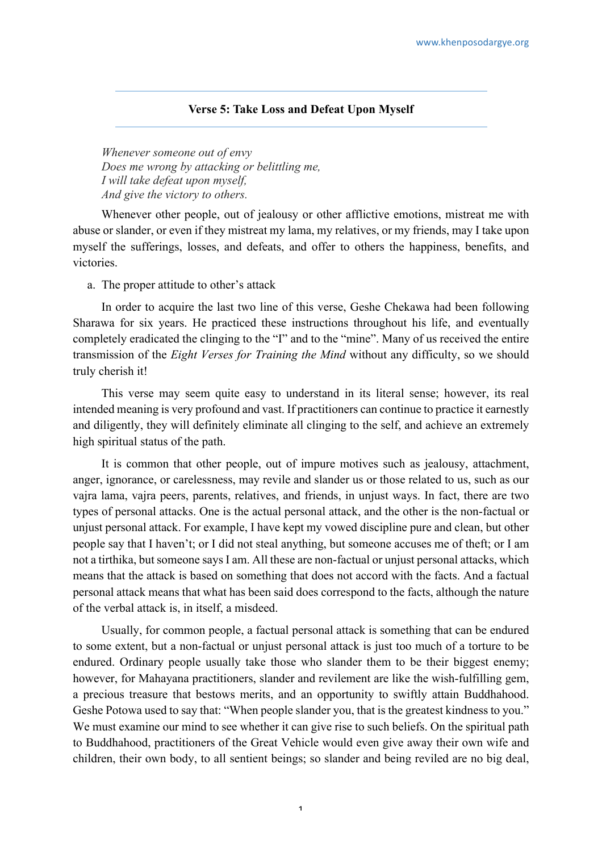## **Verse 5: Take Loss and Defeat Upon Myself**

*Whenever someone out of envy Does me wrong by attacking or belittling me, I will take defeat upon myself, And give the victory to others.*

Whenever other people, out of jealousy or other afflictive emotions, mistreat me with abuse or slander, or even if they mistreat my lama, my relatives, or my friends, may I take upon myself the sufferings, losses, and defeats, and offer to others the happiness, benefits, and victories.

a. The proper attitude to other's attack

In order to acquire the last two line of this verse, Geshe Chekawa had been following Sharawa for six years. He practiced these instructions throughout his life, and eventually completely eradicated the clinging to the "I" and to the "mine". Many of us received the entire transmission of the *Eight Verses for Training the Mind* without any difficulty, so we should truly cherish it!

This verse may seem quite easy to understand in its literal sense; however, its real intended meaning is very profound and vast. If practitioners can continue to practice it earnestly and diligently, they will definitely eliminate all clinging to the self, and achieve an extremely high spiritual status of the path.

It is common that other people, out of impure motives such as jealousy, attachment, anger, ignorance, or carelessness, may revile and slander us or those related to us, such as our vajra lama, vajra peers, parents, relatives, and friends, in unjust ways. In fact, there are two types of personal attacks. One is the actual personal attack, and the other is the non-factual or unjust personal attack. For example, I have kept my vowed discipline pure and clean, but other people say that I haven't; or I did not steal anything, but someone accuses me of theft; or I am not a tirthika, but someone says I am. All these are non-factual or unjust personal attacks, which means that the attack is based on something that does not accord with the facts. And a factual personal attack means that what has been said does correspond to the facts, although the nature of the verbal attack is, in itself, a misdeed.

Usually, for common people, a factual personal attack is something that can be endured to some extent, but a non-factual or unjust personal attack is just too much of a torture to be endured. Ordinary people usually take those who slander them to be their biggest enemy; however, for Mahayana practitioners, slander and revilement are like the wish-fulfilling gem, a precious treasure that bestows merits, and an opportunity to swiftly attain Buddhahood. Geshe Potowa used to say that: "When people slander you, that is the greatest kindness to you." We must examine our mind to see whether it can give rise to such beliefs. On the spiritual path to Buddhahood, practitioners of the Great Vehicle would even give away their own wife and children, their own body, to all sentient beings; so slander and being reviled are no big deal,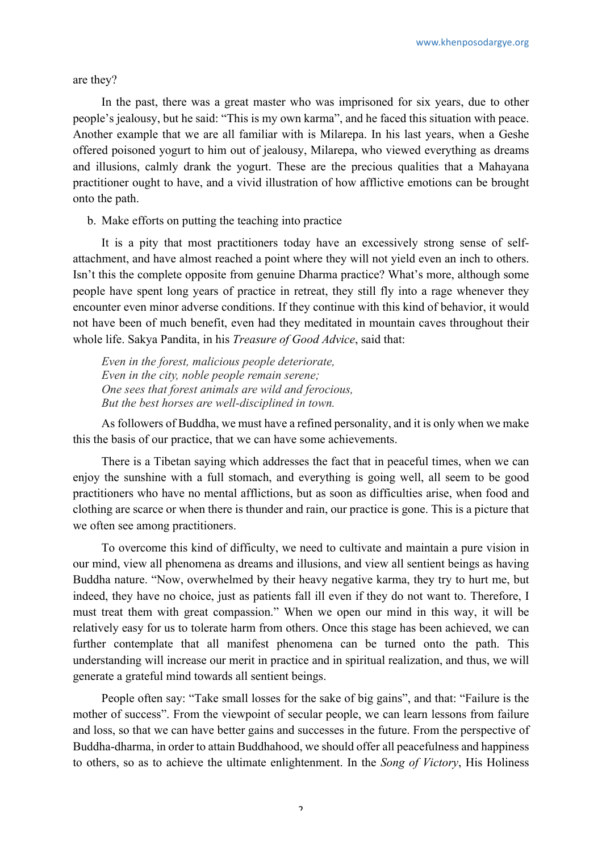are they?

In the past, there was a great master who was imprisoned for six years, due to other people's jealousy, but he said: "This is my own karma", and he faced this situation with peace. Another example that we are all familiar with is Milarepa. In his last years, when a Geshe offered poisoned yogurt to him out of jealousy, Milarepa, who viewed everything as dreams and illusions, calmly drank the yogurt. These are the precious qualities that a Mahayana practitioner ought to have, and a vivid illustration of how afflictive emotions can be brought onto the path.

b. Make efforts on putting the teaching into practice

It is a pity that most practitioners today have an excessively strong sense of selfattachment, and have almost reached a point where they will not yield even an inch to others. Isn't this the complete opposite from genuine Dharma practice? What's more, although some people have spent long years of practice in retreat, they still fly into a rage whenever they encounter even minor adverse conditions. If they continue with this kind of behavior, it would not have been of much benefit, even had they meditated in mountain caves throughout their whole life. Sakya Pandita, in his *Treasure of Good Advice*, said that:

*Even in the forest, malicious people deteriorate, Even in the city, noble people remain serene; One sees that forest animals are wild and ferocious, But the best horses are well-disciplined in town.*

As followers of Buddha, we must have a refined personality, and it is only when we make this the basis of our practice, that we can have some achievements.

There is a Tibetan saying which addresses the fact that in peaceful times, when we can enjoy the sunshine with a full stomach, and everything is going well, all seem to be good practitioners who have no mental afflictions, but as soon as difficulties arise, when food and clothing are scarce or when there is thunder and rain, our practice is gone. This is a picture that we often see among practitioners.

To overcome this kind of difficulty, we need to cultivate and maintain a pure vision in our mind, view all phenomena as dreams and illusions, and view all sentient beings as having Buddha nature. "Now, overwhelmed by their heavy negative karma, they try to hurt me, but indeed, they have no choice, just as patients fall ill even if they do not want to. Therefore, I must treat them with great compassion." When we open our mind in this way, it will be relatively easy for us to tolerate harm from others. Once this stage has been achieved, we can further contemplate that all manifest phenomena can be turned onto the path. This understanding will increase our merit in practice and in spiritual realization, and thus, we will generate a grateful mind towards all sentient beings.

People often say: "Take small losses for the sake of big gains", and that: "Failure is the mother of success". From the viewpoint of secular people, we can learn lessons from failure and loss, so that we can have better gains and successes in the future. From the perspective of Buddha-dharma, in order to attain Buddhahood, we should offer all peacefulness and happiness to others, so as to achieve the ultimate enlightenment. In the *Song of Victory*, His Holiness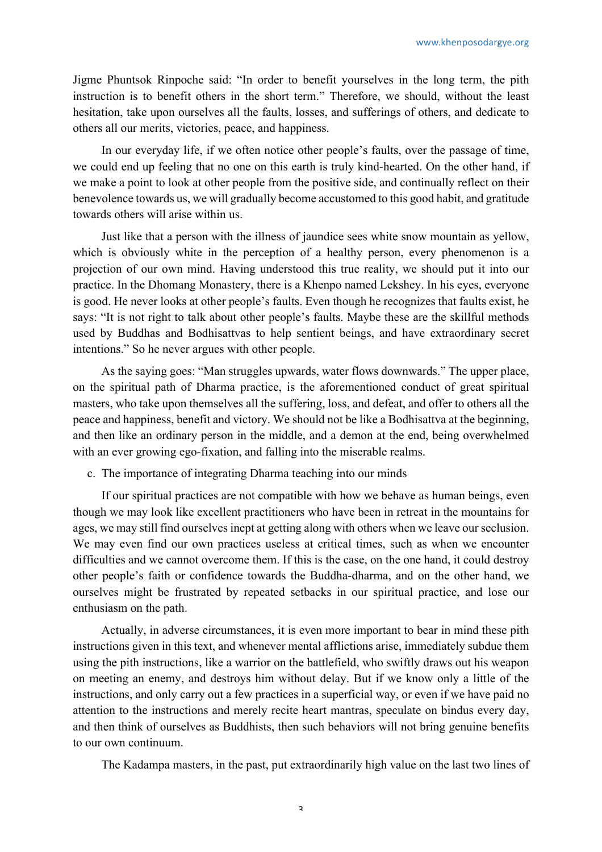Jigme Phuntsok Rinpoche said: "In order to benefit yourselves in the long term, the pith instruction is to benefit others in the short term." Therefore, we should, without the least hesitation, take upon ourselves all the faults, losses, and sufferings of others, and dedicate to others all our merits, victories, peace, and happiness.

In our everyday life, if we often notice other people's faults, over the passage of time, we could end up feeling that no one on this earth is truly kind-hearted. On the other hand, if we make a point to look at other people from the positive side, and continually reflect on their benevolence towards us, we will gradually become accustomed to this good habit, and gratitude towards others will arise within us.

Just like that a person with the illness of jaundice sees white snow mountain as yellow, which is obviously white in the perception of a healthy person, every phenomenon is a projection of our own mind. Having understood this true reality, we should put it into our practice. In the Dhomang Monastery, there is a Khenpo named Lekshey. In his eyes, everyone is good. He never looks at other people's faults. Even though he recognizes that faults exist, he says: "It is not right to talk about other people's faults. Maybe these are the skillful methods used by Buddhas and Bodhisattvas to help sentient beings, and have extraordinary secret intentions." So he never argues with other people.

As the saying goes: "Man struggles upwards, water flows downwards." The upper place, on the spiritual path of Dharma practice, is the aforementioned conduct of great spiritual masters, who take upon themselves all the suffering, loss, and defeat, and offer to others all the peace and happiness, benefit and victory. We should not be like a Bodhisattva at the beginning, and then like an ordinary person in the middle, and a demon at the end, being overwhelmed with an ever growing ego-fixation, and falling into the miserable realms.

c. The importance of integrating Dharma teaching into our minds

If our spiritual practices are not compatible with how we behave as human beings, even though we may look like excellent practitioners who have been in retreat in the mountains for ages, we may still find ourselves inept at getting along with others when we leave our seclusion. We may even find our own practices useless at critical times, such as when we encounter difficulties and we cannot overcome them. If this is the case, on the one hand, it could destroy other people's faith or confidence towards the Buddha-dharma, and on the other hand, we ourselves might be frustrated by repeated setbacks in our spiritual practice, and lose our enthusiasm on the path.

Actually, in adverse circumstances, it is even more important to bear in mind these pith instructions given in this text, and whenever mental afflictions arise, immediately subdue them using the pith instructions, like a warrior on the battlefield, who swiftly draws out his weapon on meeting an enemy, and destroys him without delay. But if we know only a little of the instructions, and only carry out a few practices in a superficial way, or even if we have paid no attention to the instructions and merely recite heart mantras, speculate on bindus every day, and then think of ourselves as Buddhists, then such behaviors will not bring genuine benefits to our own continuum.

The Kadampa masters, in the past, put extraordinarily high value on the last two lines of